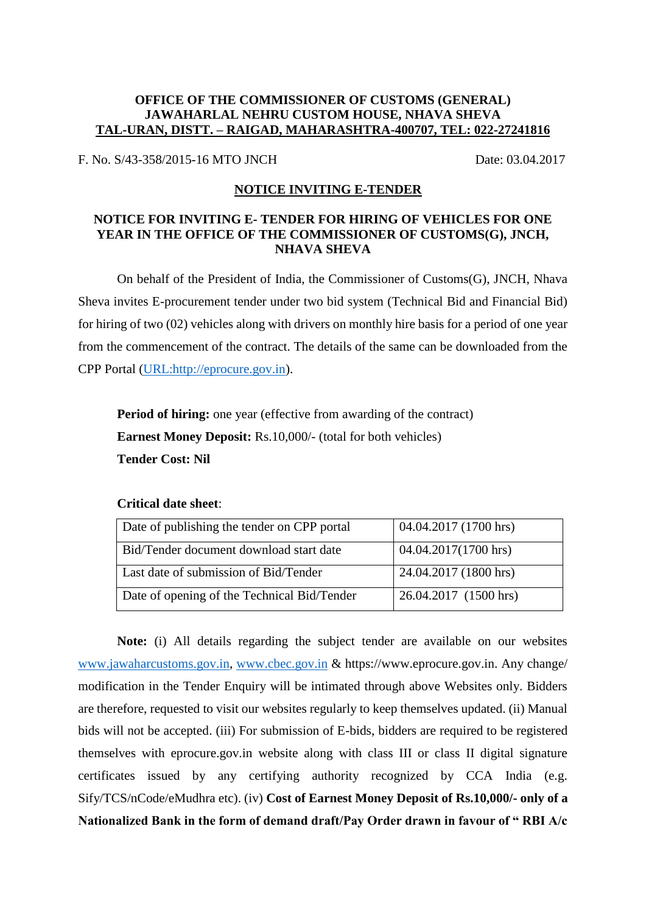## **OFFICE OF THE COMMISSIONER OF CUSTOMS (GENERAL) JAWAHARLAL NEHRU CUSTOM HOUSE, NHAVA SHEVA TAL-URAN, DISTT. – RAIGAD, MAHARASHTRA-400707, TEL: 022-27241816**

F. No. S/43-358/2015-16 MTO JNCH Date: 03.04.2017

## **NOTICE INVITING E-TENDER**

## **NOTICE FOR INVITING E- TENDER FOR HIRING OF VEHICLES FOR ONE YEAR IN THE OFFICE OF THE COMMISSIONER OF CUSTOMS(G), JNCH, NHAVA SHEVA**

On behalf of the President of India, the Commissioner of Customs(G), JNCH, Nhava Sheva invites E-procurement tender under two bid system (Technical Bid and Financial Bid) for hiring of two (02) vehicles along with drivers on monthly hire basis for a period of one year from the commencement of the contract. The details of the same can be downloaded from the CPP Portal [\(URL:http://eprocure.gov.in\)](http://eprocure.gov.in/).

**Period of hiring:** one year (effective from awarding of the contract) **Earnest Money Deposit:** Rs.10,000/- (total for both vehicles) **Tender Cost: Nil**

## **Critical date sheet**:

| Date of publishing the tender on CPP portal | 04.04.2017 (1700 hrs) |
|---------------------------------------------|-----------------------|
| Bid/Tender document download start date     | 04.04.2017(1700 hrs)  |
| Last date of submission of Bid/Tender       | 24.04.2017 (1800 hrs) |
| Date of opening of the Technical Bid/Tender | 26.04.2017 (1500 hrs) |

**Note:** (i) All details regarding the subject tender are available on our websites [www.jawaharcustoms.gov.in,](http://www.jawaharcustoms.gov.in/) [www.cbec.gov.in](http://www.cbec.gov.in/) & https://www.eprocure.gov.in. Any change/ modification in the Tender Enquiry will be intimated through above Websites only. Bidders are therefore, requested to visit our websites regularly to keep themselves updated. (ii) Manual bids will not be accepted. (iii) For submission of E-bids, bidders are required to be registered themselves with eprocure.gov.in website along with class III or class II digital signature certificates issued by any certifying authority recognized by CCA India (e.g. Sify/TCS/nCode/eMudhra etc). (iv) **Cost of Earnest Money Deposit of Rs.10,000/- only of a Nationalized Bank in the form of demand draft/Pay Order drawn in favour of " RBI A/c**